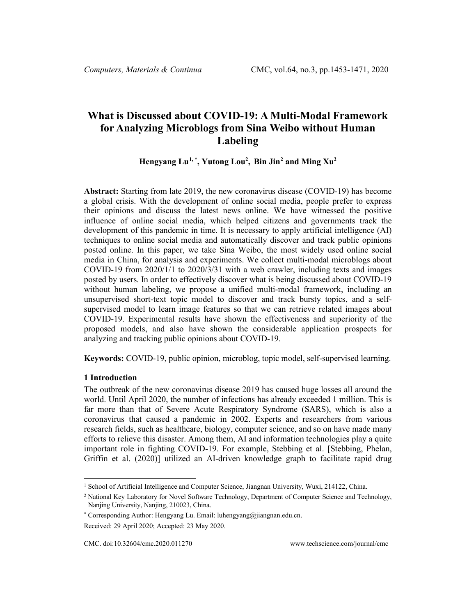# **What is Discussed about COVID-19: A Multi-Modal Framework for Analyzing Microblogs from Sina Weibo without Human Labeling**

### **Hengyang Lu[1,](#page-0-0) \* , Yutong Lou2 , Bin Jin[2](#page-0-1) and Ming Xu2**

**Abstract:** Starting from late 2019, the new coronavirus disease (COVID-19) has become a global crisis. With the development of online social media, people prefer to express their opinions and discuss the latest news online. We have witnessed the positive influence of online social media, which helped citizens and governments track the development of this pandemic in time. It is necessary to apply artificial intelligence (AI) techniques to online social media and automatically discover and track public opinions posted online. In this paper, we take Sina Weibo, the most widely used online social media in China, for analysis and experiments. We collect multi-modal microblogs about COVID-19 from 2020/1/1 to 2020/3/31 with a web crawler, including texts and images posted by users. In order to effectively discover what is being discussed about COVID-19 without human labeling, we propose a unified multi-modal framework, including an unsupervised short-text topic model to discover and track bursty topics, and a selfsupervised model to learn image features so that we can retrieve related images about COVID-19. Experimental results have shown the effectiveness and superiority of the proposed models, and also have shown the considerable application prospects for analyzing and tracking public opinions about COVID-19.

**Keywords:** COVID-19, public opinion, microblog, topic model, self-supervised learning.

#### **1 Introduction**

The outbreak of the new coronavirus disease 2019 has caused huge losses all around the world. Until April 2020, the number of infections has already exceeded 1 million. This is far more than that of Severe Acute Respiratory Syndrome (SARS), which is also a coronavirus that caused a pandemic in 2002. Experts and researchers from various research fields, such as healthcare, biology, computer science, and so on have made many efforts to relieve this disaster. Among them, AI and information technologies play a quite important role in fighting COVID-19. For example, Stebbing et al. [Stebbing, Phelan, Griffin et al. (2020)] utilized an AI-driven knowledge graph to facilitate rapid drug

<span id="page-0-0"></span><sup>1</sup> School of Artificial Intelligence and Computer Science, Jiangnan University, Wuxi, 214122, China.

<span id="page-0-1"></span><sup>&</sup>lt;sup>2</sup> National Key Laboratory for Novel Software Technology, Department of Computer Science and Technology, Nanjing University, Nanjing, 210023, China.

<sup>\*</sup> Corresponding Author: Hengyang Lu. Email: luhengyang@jiangnan.edu.cn.

Received: 29 April 2020; Accepted: 23 May 2020.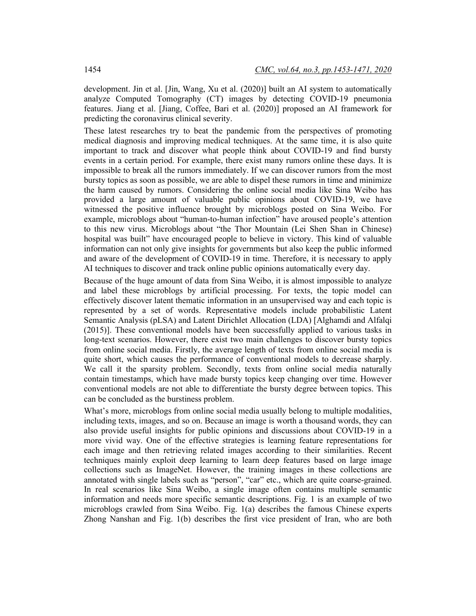development. Jin et al. [Jin, Wang, Xu et al. (2020)] built an AI system to automatically analyze Computed Tomography (CT) images by detecting COVID-19 pneumonia features. Jiang et al. [Jiang, Coffee, Bari et al. (2020)] proposed an AI framework for predicting the coronavirus clinical severity.

These latest researches try to beat the pandemic from the perspectives of promoting medical diagnosis and improving medical techniques. At the same time, it is also quite important to track and discover what people think about COVID-19 and find bursty events in a certain period. For example, there exist many rumors online these days. It is impossible to break all the rumors immediately. If we can discover rumors from the most bursty topics as soon as possible, we are able to dispel these rumors in time and minimize the harm caused by rumors. Considering the online social media like Sina Weibo has provided a large amount of valuable public opinions about COVID-19, we have witnessed the positive influence brought by microblogs posted on Sina Weibo. For example, microblogs about "human-to-human infection" have aroused people's attention to this new virus. Microblogs about "the Thor Mountain (Lei Shen Shan in Chinese) hospital was built" have encouraged people to believe in victory. This kind of valuable information can not only give insights for governments but also keep the public informed and aware of the development of COVID-19 in time. Therefore, it is necessary to apply AI techniques to discover and track online public opinions automatically every day.

Because of the huge amount of data from Sina Weibo, it is almost impossible to analyze and label these microblogs by artificial processing. For texts, the topic model can effectively discover latent thematic information in an unsupervised way and each topic is represented by a set of words. Representative models include probabilistic Latent Semantic Analysis (pLSA) and Latent Dirichlet Allocation (LDA) [Alghamdi and Alfalqi (2015)]. These conventional models have been successfully applied to various tasks in long-text scenarios. However, there exist two main challenges to discover bursty topics from online social media. Firstly, the average length of texts from online social media is quite short, which causes the performance of conventional models to decrease sharply. We call it the sparsity problem. Secondly, texts from online social media naturally contain timestamps, which have made bursty topics keep changing over time. However conventional models are not able to differentiate the bursty degree between topics. This can be concluded as the burstiness problem.

What's more, microblogs from online social media usually belong to multiple modalities, including texts, images, and so on. Because an image is worth a thousand words, they can also provide useful insights for public opinions and discussions about COVID-19 in a more vivid way. One of the effective strategies is learning feature representations for each image and then retrieving related images according to their similarities. Recent techniques mainly exploit deep learning to learn deep features based on large image collections such as ImageNet. However, the training images in these collections are annotated with single labels such as "person", "car" etc., which are quite coarse-grained. In real scenarios like Sina Weibo, a single image often contains multiple semantic information and needs more specific semantic descriptions. Fig. 1 is an example of two microblogs crawled from Sina Weibo. Fig. 1(a) describes the famous Chinese experts Zhong Nanshan and Fig. 1(b) describes the first vice president of Iran, who are both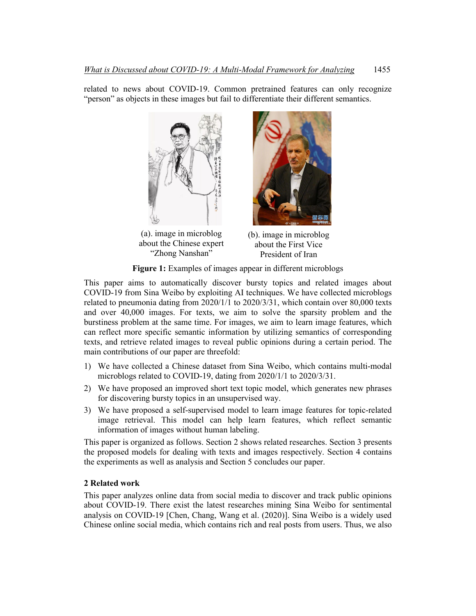related to news about COVID-19. Common pretrained features can only recognize "person" as objects in these images but fail to differentiate their different semantics.





(a). image in microblog about the Chinese expert "Zhong Nanshan" (b). image in microblog about the First Vice President of Iran

**Figure 1:** Examples of images appear in different microblogs

This paper aims to automatically discover bursty topics and related images about COVID-19 from Sina Weibo by exploiting AI techniques. We have collected microblogs related to pneumonia dating from 2020/1/1 to 2020/3/31, which contain over 80,000 texts and over 40,000 images. For texts, we aim to solve the sparsity problem and the burstiness problem at the same time. For images, we aim to learn image features, which can reflect more specific semantic information by utilizing semantics of corresponding texts, and retrieve related images to reveal public opinions during a certain period. The main contributions of our paper are threefold:

- 1) We have collected a Chinese dataset from Sina Weibo, which contains multi-modal microblogs related to COVID-19, dating from 2020/1/1 to 2020/3/31.
- 2) We have proposed an improved short text topic model, which generates new phrases for discovering bursty topics in an unsupervised way.
- 3) We have proposed a self-supervised model to learn image features for topic-related image retrieval. This model can help learn features, which reflect semantic information of images without human labeling.

This paper is organized as follows. Section 2 shows related researches. Section 3 presents the proposed models for dealing with texts and images respectively. Section 4 contains the experiments as well as analysis and Section 5 concludes our paper.

### **2 Related work**

This paper analyzes online data from social media to discover and track public opinions about COVID-19. There exist the latest researches mining Sina Weibo for sentimental analysis on COVID-19 [Chen, Chang, Wang et al. (2020)]. Sina Weibo is a widely used Chinese online social media, which contains rich and real posts from users. Thus, we also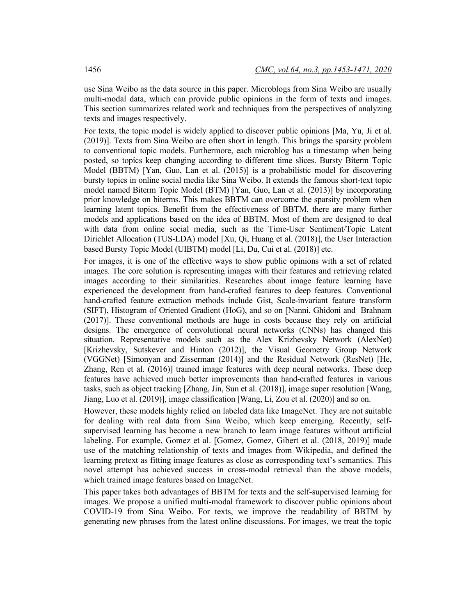use Sina Weibo as the data source in this paper. Microblogs from Sina Weibo are usually multi-modal data, which can provide public opinions in the form of texts and images. This section summarizes related work and techniques from the perspectives of analyzing texts and images respectively.

For texts, the topic model is widely applied to discover public opinions [Ma, Yu, Ji et al. (2019)]. Texts from Sina Weibo are often short in length. This brings the sparsity problem to conventional topic models. Furthermore, each microblog has a timestamp when being posted, so topics keep changing according to different time slices. Bursty Biterm Topic Model (BBTM) [Yan, Guo, Lan et al. (2015)] is a probabilistic model for discovering bursty topics in online social media like Sina Weibo. It extends the famous short-text topic model named Biterm Topic Model (BTM) [Yan, Guo, Lan et al. (2013)] by incorporating prior knowledge on biterms. This makes BBTM can overcome the sparsity problem when learning latent topics. Benefit from the effectiveness of BBTM, there are many further models and applications based on the idea of BBTM. Most of them are designed to deal with data from online social media, such as the Time-User Sentiment/Topic Latent Dirichlet Allocation (TUS-LDA) model [Xu, Qi, Huang et al. (2018)], the User Interaction based Bursty Topic Model (UIBTM) model [Li, Du, Cui et al. (2018)] etc.

For images, it is one of the effective ways to show public opinions with a set of related images. The core solution is representing images with their features and retrieving related images according to their similarities. Researches about image feature learning have experienced the development from hand-crafted features to deep features. Conventional hand-crafted feature extraction methods include Gist, Scale-invariant feature transform (SIFT), Histogram of Oriented Gradient (HoG), and so on [Nanni, Ghidoni and Brahnam (2017)]. These conventional methods are huge in costs because they rely on artificial designs. The emergence of convolutional neural networks (CNNs) has changed this situation. Representative models such as the Alex Krizhevsky Network (AlexNet) [Krizhevsky, Sutskever and Hinton (2012)], the Visual Geometry Group Network (VGGNet) [Simonyan and Zisserman (2014)] and the Residual Network (ResNet) [He, Zhang, Ren et al. (2016)] trained image features with deep neural networks. These deep features have achieved much better improvements than hand-crafted features in various tasks, such as object tracking [Zhang, Jin, Sun et al. (2018)], image super resolution [Wang, Jiang, Luo et al. (2019)], image classification [Wang, Li, Zou et al. (2020)] and so on.

However, these models highly relied on labeled data like ImageNet. They are not suitable for dealing with real data from Sina Weibo, which keep emerging. Recently, selfsupervised learning has become a new branch to learn image features without artificial labeling. For example, Gomez et al. [Gomez, Gomez, Gibert et al. (2018, 2019)] made use of the matching relationship of texts and images from Wikipedia, and defined the learning pretext as fitting image features as close as corresponding text's semantics. This novel attempt has achieved success in cross-modal retrieval than the above models, which trained image features based on ImageNet.

This paper takes both advantages of BBTM for texts and the self-supervised learning for images. We propose a unified multi-modal framework to discover public opinions about COVID-19 from Sina Weibo. For texts, we improve the readability of BBTM by generating new phrases from the latest online discussions. For images, we treat the topic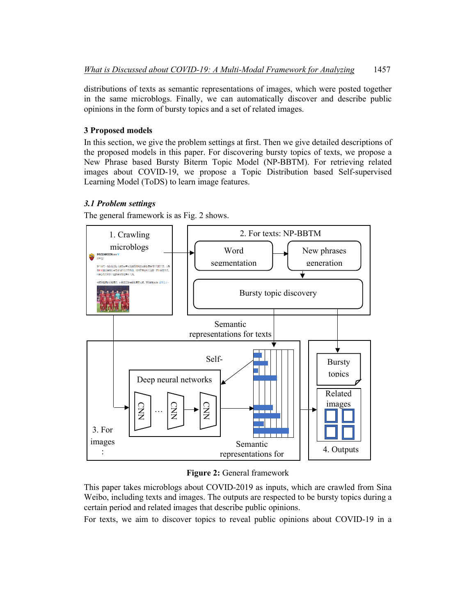distributions of texts as semantic representations of images, which were posted together in the same microblogs. Finally, we can automatically discover and describe public opinions in the form of bursty topics and a set of related images.

# **3 Proposed models**

In this section, we give the problem settings at first. Then we give detailed descriptions of the proposed models in this paper. For discovering bursty topics of texts, we propose a New Phrase based Bursty Biterm Topic Model (NP-BBTM). For retrieving related images about COVID-19, we propose a Topic Distribution based Self-supervised Learning Model (ToDS) to learn image features.

# *3.1 Problem settings*

The general framework is as Fig. 2 shows.



**Figure 2:** General framework

This paper takes microblogs about COVID-2019 as inputs, which are crawled from Sina Weibo, including texts and images. The outputs are respected to be bursty topics during a certain period and related images that describe public opinions.

For texts, we aim to discover topics to reveal public opinions about COVID-19 in a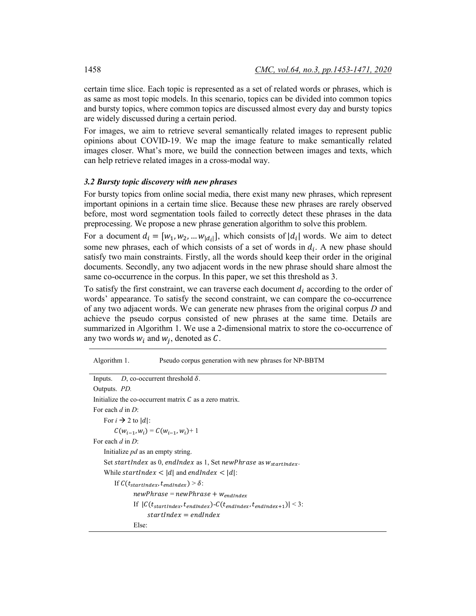certain time slice. Each topic is represented as a set of related words or phrases, which is as same as most topic models. In this scenario, topics can be divided into common topics and bursty topics, where common topics are discussed almost every day and bursty topics are widely discussed during a certain period.

For images, we aim to retrieve several semantically related images to represent public opinions about COVID-19. We map the image feature to make semantically related images closer. What's more, we build the connection between images and texts, which can help retrieve related images in a cross-modal way.

#### *3.2 Bursty topic discovery with new phrases*

For bursty topics from online social media, there exist many new phrases, which represent important opinions in a certain time slice. Because these new phrases are rarely observed before, most word segmentation tools failed to correctly detect these phrases in the data preprocessing. We propose a new phrase generation algorithm to solve this problem.

For a document  $d_i = [w_1, w_2, ... w_{|d_i|}]$ , which consists of  $|d_i|$  words. We aim to detect some new phrases, each of which consists of a set of words in  $d_i$ . A new phase should satisfy two main constraints. Firstly, all the words should keep their order in the original documents. Secondly, any two adjacent words in the new phrase should share almost the same co-occurrence in the corpus. In this paper, we set this threshold as 3.

To satisfy the first constraint, we can traverse each document  $d_i$  according to the order of words' appearance. To satisfy the second constraint, we can compare the co-occurrence of any two adjacent words. We can generate new phrases from the original corpus *D* and achieve the pseudo corpus consisted of new phrases at the same time. Details are summarized in Algorithm 1. We use a 2-dimensional matrix to store the co-occurrence of any two words  $w_i$  and  $w_i$ , denoted as C.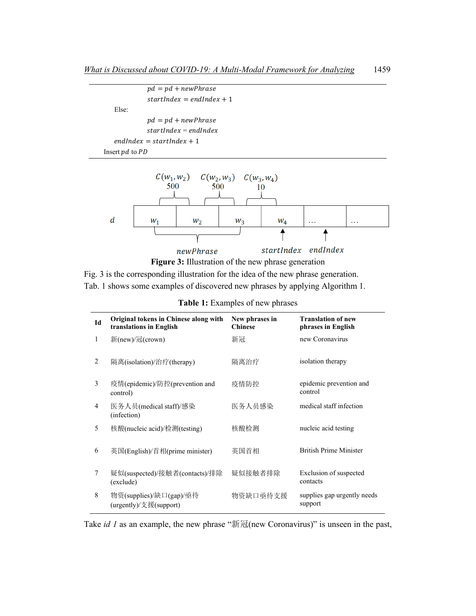```
pd = pd + newPhrasestartIndex = endIndex + 1 Else:
pd = pd + newPhrasestartIndex = endIndexendIndex = startIndex + 1Insert pd to PD
```




Fig. 3 is the corresponding illustration for the idea of the new phrase generation. Tab. 1 shows some examples of discovered new phrases by applying Algorithm 1.

| Id | Original tokens in Chinese along with<br>translations in English | New phrases in<br><b>Chinese</b> | <b>Translation of new</b><br>phrases in English |
|----|------------------------------------------------------------------|----------------------------------|-------------------------------------------------|
| 1  | 新(new)/冠(crown)                                                  | 新冠                               | new Coronavirus                                 |
| 2  | 隔离(isolation)/治疗(therapy)                                        | 隔离治疗                             | isolation therapy                               |
| 3  | 疫情(epidemic)/防控(prevention and<br>control)                       | 疫情防控                             | epidemic prevention and<br>control              |
| 4  | 医务人员(medical staff)/感染<br>(infection)                            | 医务人员感染                           | medical staff infection                         |
| 5  | 核酸(nucleic acid)/检测(testing)                                     | 核酸检测                             | nucleic acid testing                            |
| 6  | 英国(English)/首相(prime minister)                                   | 英国首相                             | <b>British Prime Minister</b>                   |
| 7  | 疑似(suspected)/接触者(contacts)/排除<br>(exclude)                      | 疑似接触者排除                          | Exclusion of suspected<br>contacts              |
| 8  | 物资(supplies)/缺口(gap)/亟待<br>(urgently)/支援(support)                | 物资缺口亟待支援                         | supplies gap urgently needs<br>support          |

| Table 1: Examples of new phrases |  |  |  |
|----------------------------------|--|--|--|
|----------------------------------|--|--|--|

Take *id 1* as an example, the new phrase "新冠(new Coronavirus)" is unseen in the past,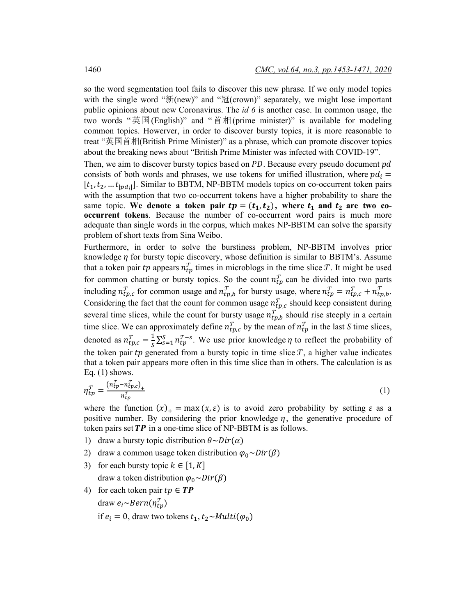so the word segmentation tool fails to discover this new phrase. If we only model topics with the single word " $\mathfrak{M}(new)$ " and " $\mathfrak{A}(crown)$ " separately, we might lose important public opinions about new Coronavirus. The *id 6* is another case. In common usage, the two words "英国(English)" and "首相(prime minister)" is available for modeling common topics. Howerver, in order to discover bursty topics, it is more reasonable to treat "英国首相(British Prime Minister)" as a phrase, which can promote discover topics about the breaking news about "British Prime Minister was infected with COVID-19".

Then, we aim to discover bursty topics based on  $PD$ . Because every pseudo document  $pd$ consists of both words and phrases, we use tokens for unified illustration, where  $pd<sub>i</sub> =$  $[t_1, t_2, ... t_{nd_i}]$ . Similar to BBTM, NP-BBTM models topics on co-occurrent token pairs with the assumption that two co-occurrent tokens have a higher probability to share the same topic. We denote a token pair  $tp = (t_1, t_2)$ , where  $t_1$  and  $t_2$  are two co**occurrent tokens**. Because the number of co-occurrent word pairs is much more adequate than single words in the corpus, which makes NP-BBTM can solve the sparsity problem of short texts from Sina Weibo.

Furthermore, in order to solve the burstiness problem, NP-BBTM involves prior knowledge  $\eta$  for bursty topic discovery, whose definition is similar to BBTM's. Assume that a token pair tp appears  $n_{tp}^{\mathcal{T}}$  times in microblogs in the time slice  $\mathcal{T}$ . It might be used for common chatting or bursty topics. So the count  $n_{tp}^T$  can be divided into two parts including  $n_{tp,c}^T$  for common usage and  $n_{tp,b}^T$  for bursty usage, where  $n_{tp}^T = n_{tp,c}^T + n_{tp,b}^T$ . Considering the fact that the count for common usage  $n_{tp,c}^T$  should keep consistent during several time slices, while the count for bursty usage  $n_{tp,b}^{\mathcal{T}}$  should rise steeply in a certain time slice. We can approximately define  $n_{tp,c}^T$  by the mean of  $n_{tp}^T$  in the last *S* time slices, denoted as  $n_{tp,c}^T = \frac{1}{S} \sum_{s=1}^S n_{tp}^{T-s}$ . We use prior knowledge  $\eta$  to reflect the probability of the token pair tp generated from a bursty topic in time slice  $\mathcal{T}$ , a higher value indicates that a token pair appears more often in this time slice than in others. The calculation is as Eq.  $(1)$  shows.

$$
\eta_{tp}^T = \frac{(n_{tp}^T - n_{tp,c}^T)_+}{n_{tp}^T} \tag{1}
$$

where the function  $(x)_+$  = max  $(x, \varepsilon)$  is to avoid zero probability by setting  $\varepsilon$  as a positive number. By considering the prior knowledge  $\eta$ , the generative procedure of token pairs set  $TP$  in a one-time slice of NP-BBTM is as follows.

- 1) draw a bursty topic distribution  $\theta \sim Dir(\alpha)$
- 2) draw a common usage token distribution  $\varphi_0 \sim Dir(\beta)$
- 3) for each bursty topic  $k \in [1, K]$ draw a token distribution  $\varphi_0 \sim Dir(\beta)$
- 4) for each token pair  $tp \in TP$ draw  $e_i \sim Bern(\eta_{tn}^T)$ 
	- if  $e_i = 0$ , draw two tokens  $t_1, t_2 \sim Multi(\varphi_0)$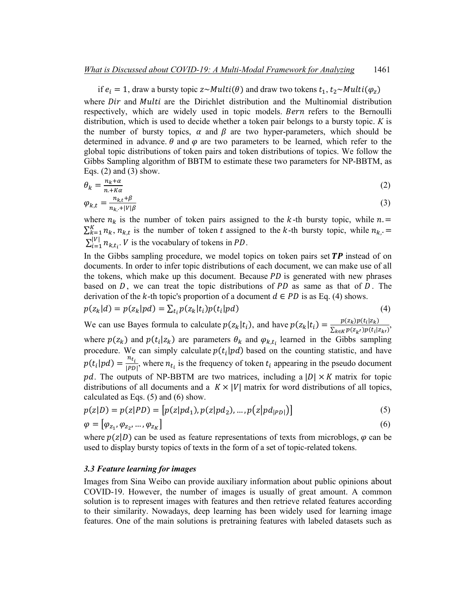if  $e_i = 1$ , draw a bursty topic  $z \sim Multi(\theta)$  and draw two tokens  $t_1, t_2 \sim Multi(\varphi_z)$ where  $Dir$  and *Multi* are the Dirichlet distribution and the Multinomial distribution respectively, which are widely used in topic models. Bern refers to the Bernoulli distribution, which is used to decide whether a token pair belongs to a bursty topic. *K* is the number of bursty topics,  $\alpha$  and  $\beta$  are two hyper-parameters, which should be determined in advance.  $\theta$  and  $\varphi$  are two parameters to be learned, which refer to the global topic distributions of token pairs and token distributions of topics. We follow the Gibbs Sampling algorithm of BBTM to estimate these two parameters for NP-BBTM, as Eqs.  $(2)$  and  $(3)$  show.

$$
\theta_k = \frac{n_k + \alpha}{n + K\alpha} \tag{2}
$$

$$
\varphi_{k,t} = \frac{n_{k,t} + \beta}{n_{k,t} + |V|\beta} \tag{3}
$$

where  $n_k$  is the number of token pairs assigned to the k-th bursty topic, while  $n =$  $\sum_{k=1}^{K} n_k$ ,  $n_{k,t}$  is the number of token t assigned to the k-th bursty topic, while  $n_{k,t}$  $\sum_{i=1}^{|V|} n_{k,t_i}$ . *V* is the vocabulary of tokens in *PD*.

In the Gibbs sampling procedure, we model topics on token pairs set  $\mathbf{TP}$  instead of on documents. In order to infer topic distributions of each document, we can make use of all the tokens, which make up this document. Because  $PD$  is generated with new phrases based on  $D$ , we can treat the topic distributions of  $PD$  as same as that of  $D$ . The derivation of the k-th topic's proportion of a document  $d \in PD$  is as Eq. (4) shows.

$$
p(z_k|d) = p(z_k|pd) = \sum_{t_i} p(z_k|t_i)p(t_i|pd)
$$
\n(4)

We can use Bayes formula to calculate  $p(z_k|t_i)$ , and have  $p(z_k|t_i) = \frac{p(z_k)p(t_i|z_k)}{\sum_{k \in K} p(z_{k'})p(t_i|z_{k'})}$ , where  $p(z_k)$  and  $p(t_i | z_k)$  are parameters  $\theta_k$  and  $\varphi_{k,t_i}$  learned in the Gibbs sampling procedure. We can simply calculate  $p(t_i | pd)$  based on the counting statistic, and have  $p(t_i|pd) = \frac{n_{t_i}}{|PD|}$ , where  $n_{t_i}$  is the frequency of token  $t_i$  appearing in the pseudo document pd. The outputs of NP-BBTM are two matrices, including a  $|D| \times K$  matrix for topic distributions of all documents and a  $K \times |V|$  matrix for word distributions of all topics, calculated as Eqs. (5) and (6) show.  $\sim$  $\ddot{\phantom{0}}$ 

$$
p(z|D) = p(z|PD) = [p(z|pd_1), p(z|pd_2), ..., p(z|pd_{|PD|})]
$$
\n(5)

$$
\varphi = [\varphi_{z_1}, \varphi_{z_2}, \dots, \varphi_{z_K}] \tag{6}
$$

where  $p(z|D)$  can be used as feature representations of texts from microblogs,  $\varphi$  can be used to display bursty topics of texts in the form of a set of topic-related tokens.

#### *3.3 Feature learning for images*

Images from Sina Weibo can provide auxiliary information about public opinions about COVID-19. However, the number of images is usually of great amount. A common solution is to represent images with features and then retrieve related features according to their similarity. Nowadays, deep learning has been widely used for learning image features. One of the main solutions is pretraining features with labeled datasets such as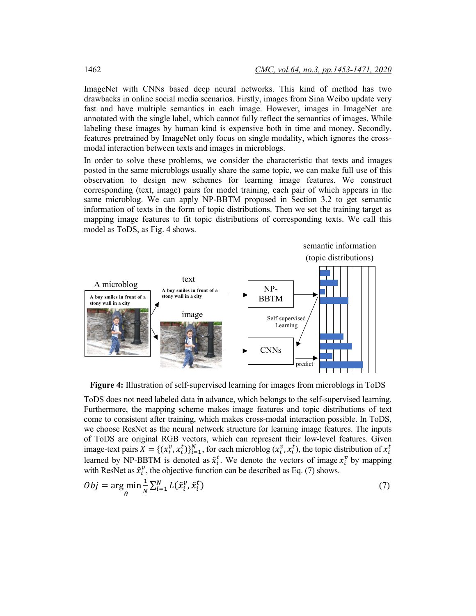ImageNet with CNNs based deep neural networks. This kind of method has two drawbacks in online social media scenarios. Firstly, images from Sina Weibo update very fast and have multiple semantics in each image. However, images in ImageNet are annotated with the single label, which cannot fully reflect the semantics of images. While labeling these images by human kind is expensive both in time and money. Secondly, features pretrained by ImageNet only focus on single modality, which ignores the crossmodal interaction between texts and images in microblogs.

In order to solve these problems, we consider the characteristic that texts and images posted in the same microblogs usually share the same topic, we can make full use of this observation to design new schemes for learning image features. We construct corresponding (text, image) pairs for model training, each pair of which appears in the same microblog. We can apply NP-BBTM proposed in Section 3.2 to get semantic information of texts in the form of topic distributions. Then we set the training target as mapping image features to fit topic distributions of corresponding texts. We call this model as ToDS, as Fig. 4 shows.



**Figure 4:** Illustration of self-supervised learning for images from microblogs in ToDS

ToDS does not need labeled data in advance, which belongs to the self-supervised learning. Furthermore, the mapping scheme makes image features and topic distributions of text come to consistent after training, which makes cross-modal interaction possible. In ToDS, we choose ResNet as the neural network structure for learning image features. The inputs of ToDS are original RGB vectors, which can represent their low-level features. Given image-text pairs  $X = \{(x_i^v, x_i^t)\}_{i=1}^N$ , for each microblog  $(x_i^v, x_i^t)$ , the topic distribution of  $x_i^t$ learned by NP-BBTM is denoted as  $\hat{x}_i^t$ . We denote the vectors of image  $x_i^v$  by mapping with ResNet as  $\hat{x}_i^v$ , the objective function can be described as Eq. (7) shows.

$$
Obj = \underset{\theta}{\arg\min} \frac{1}{N} \sum_{i=1}^{N} L(\hat{x}_i^v, \hat{x}_i^t)
$$
\n<sup>(7)</sup>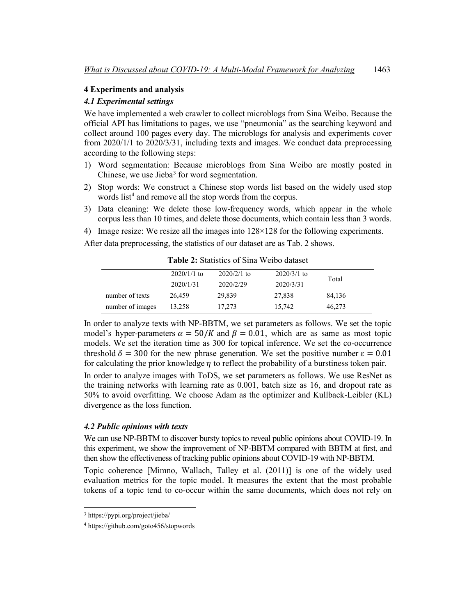#### **4 Experiments and analysis**

#### *4.1 Experimental settings*

We have implemented a web crawler to collect microblogs from Sina Weibo. Because the official API has limitations to pages, we use "pneumonia" as the searching keyword and collect around 100 pages every day. The microblogs for analysis and experiments cover from 2020/1/1 to 2020/3/31, including texts and images. We conduct data preprocessing according to the following steps:

- 1) Word segmentation: Because microblogs from Sina Weibo are mostly posted in Chinese, we use Jieba<sup>[3](#page-10-0)</sup> for word segmentation.
- 2) Stop words: We construct a Chinese stop words list based on the widely used stop words list<sup>4</sup> and remove all the stop words from the corpus.
- 3) Data cleaning: We delete those low-frequency words, which appear in the whole corpus less than 10 times, and delete those documents, which contain less than 3 words.
- 4) Image resize: We resize all the images into 128×128 for the following experiments.

After data preprocessing, the statistics of our dataset are as Tab. 2 shows.

|                  | $2020/1/1$ to<br>2020/1/31 | $2020/2/1$ to<br>2020/2/29 | $2020/3/1$ to<br>2020/3/31 | Total  |
|------------------|----------------------------|----------------------------|----------------------------|--------|
| number of texts  | 26.459                     | 29,839                     | 27,838                     | 84,136 |
| number of images | 13,258                     | 17,273                     | 15.742                     | 46,273 |

**Table 2:** Statistics of Sina Weibo dataset

In order to analyze texts with NP-BBTM, we set parameters as follows. We set the topic model's hyper-parameters  $\alpha = 50/K$  and  $\beta = 0.01$ , which are as same as most topic models. We set the iteration time as 300 for topical inference. We set the co-occurrence threshold  $\delta = 300$  for the new phrase generation. We set the positive number  $\varepsilon = 0.01$ for calculating the prior knowledge  $\eta$  to reflect the probability of a burstiness token pair. In order to analyze images with ToDS, we set parameters as follows. We use ResNet as the training networks with learning rate as 0.001, batch size as 16, and dropout rate as 50% to avoid overfitting. We choose Adam as the optimizer and Kullback-Leibler (KL) divergence as the loss function.

#### *4.2 Public opinions with texts*

We can use NP-BBTM to discover bursty topics to reveal public opinions about COVID-19. In this experiment, we show the improvement of NP-BBTM compared with BBTM at first, and then show the effectiveness of tracking public opinions about COVID-19 with NP-BBTM.

Topic coherence [Mimno, Wallach, Talley et al. (2011)] is one of the widely used evaluation metrics for the topic model. It measures the extent that the most probable tokens of a topic tend to co-occur within the same documents, which does not rely on

<span id="page-10-0"></span><sup>3</sup> https://pypi.org/project/jieba/

<span id="page-10-1"></span><sup>4</sup> https://github.com/goto456/stopwords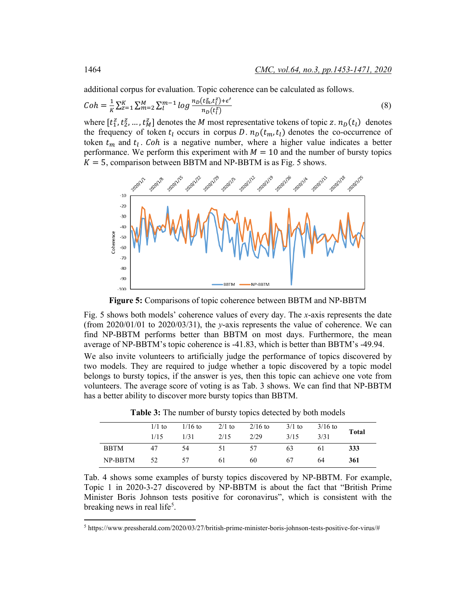additional corpus for evaluation. Topic coherence can be calculated as follows.

$$
Coh = \frac{1}{\kappa} \sum_{z=1}^{K} \sum_{m=2}^{M} \sum_{l=1}^{m-1} log \frac{n_D(t_m^z, t_l^z) + \epsilon'}{n_D(t_l^z)}
$$
(8)

where  $[t_1^z, t_2^z, ..., t_M^z]$  denotes the *M* most representative tokens of topic z.  $n_D(t_l)$  denotes the frequency of token  $t_l$  occurs in corpus D.  $n_D(t_m, t_l)$  denotes the co-occurrence of token  $t_m$  and  $t_l$ . Coh is a negative number, where a higher value indicates a better performance. We perform this experiment with  $M = 10$  and the number of bursty topics  $K = 5$ , comparison between BBTM and NP-BBTM is as Fig. 5 shows.



**Figure 5:** Comparisons of topic coherence between BBTM and NP-BBTM

Fig. 5 shows both models' coherence values of every day. The *x*-axis represents the date (from 2020/01/01 to 2020/03/31), the *y*-axis represents the value of coherence. We can find NP-BBTM performs better than BBTM on most days. Furthermore, the mean average of NP-BBTM's topic coherence is -41.83, which is better than BBTM's -49.94.

We also invite volunteers to artificially judge the performance of topics discovered by two models. They are required to judge whether a topic discovered by a topic model belongs to bursty topics, if the answer is yes, then this topic can achieve one vote from volunteers. The average score of voting is as Tab. 3 shows. We can find that NP-BBTM has a better ability to discover more bursty topics than BBTM.

|             | $1/1$ to<br>1/15 | $1/16$ to<br>1/31 | $2/1$ to<br>2/15 | $2/16$ to<br>2/29 | $3/1$ to<br>3/15 | $3/16$ to<br>3/31 | <b>Total</b> |
|-------------|------------------|-------------------|------------------|-------------------|------------------|-------------------|--------------|
| <b>BBTM</b> | 47               | -54               | 51               | 57                | 63               | 6 I               | 333          |
| NP-BBTM     | 52               | -57               | 61               | 60                | 67               | 64                | 361          |

**Table 3:** The number of bursty topics detected by both models

Tab. 4 shows some examples of bursty topics discovered by NP-BBTM. For example, Topic 1 in 2020-3-27 discovered by NP-BBTM is about the fact that "British Prime Minister Boris Johnson tests positive for coronavirus", which is consistent with the breaking news in real life<sup>[5](#page-11-0)</sup>.

<span id="page-11-0"></span><sup>5</sup> https://www.pressherald.com/2020/03/27/british-prime-minister-boris-johnson-tests-positive-for-virus/#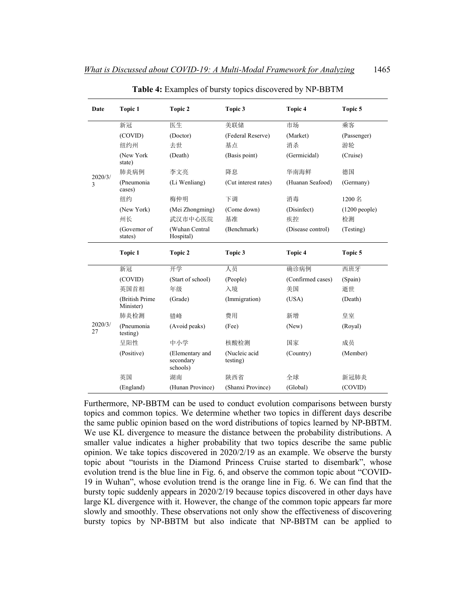| Date          | Topic 1                     | Topic 2                                  | Topic 3                   | Topic 4           | Topic 5         |
|---------------|-----------------------------|------------------------------------------|---------------------------|-------------------|-----------------|
|               | 新冠                          | 医生                                       | 美联储                       | 市场                | 乘客              |
|               | (COVID)                     | (Doctor)                                 | (Federal Reserve)         | (Market)          | (Passenger)     |
|               | 纽约州                         | 去世                                       | 基点                        | 消杀                | 游轮              |
|               | (New York<br>state)         | (Death)                                  | (Basis point)             | (Germicidal)      | (Cruise)        |
| 2020/3/       | 肺炎病例                        | 李文亮                                      | 降息                        | 华南海鲜              | 德国              |
| 3             | (Pneumonia<br>cases)        | (Li Wenliang)                            | (Cut interest rates)      | (Huanan Seafood)  | (Germany)       |
|               | 纽约                          | 梅仲明                                      | 下调                        | 消毒                | 1200 名          |
|               | (New York)                  | (Mei Zhongming)                          | (Come down)               | (Disinfect)       | $(1200$ people) |
|               | 州长                          | 武汉市中心医院                                  | 基准                        | 疾控                | 检测              |
|               | (Governor of<br>states)     | (Wuhan Central<br>Hospital)              | (Benchmark)               | (Disease control) | (Testing)       |
|               | Topic 1                     | Topic 2                                  | Topic 3                   | Topic 4           | Topic 5         |
|               | 新冠                          | 开学                                       | 人员                        | 确诊病例              | 西班牙             |
|               | (COVID)                     | (Start of school)                        | (People)                  | (Confirmed cases) | (Spain)         |
|               |                             |                                          |                           |                   |                 |
|               | 英国首相                        | 年级                                       | 入境                        | 美国                | 逝世              |
|               | (British Prime<br>Minister) | (Grade)                                  | (Immigration)             | (USA)             | (Death)         |
|               | 肺炎检测                        | 错峰                                       | 费用                        | 新增                | 皇室              |
|               | (Pneumonia<br>testing)      | (Avoid peaks)                            | (Fee)                     | (New)             | (Royal)         |
| 2020/3/<br>27 | 呈阳性                         | 中小学                                      | 核酸检测                      | 国家                | 成员              |
|               | (Positive)                  | (Elementary and<br>secondary<br>schools) | (Nucleic acid<br>testing) | (Country)         | (Member)        |
|               | 英国                          | 湖南                                       | 陕西省                       | 全球                | 新冠肺炎            |

**Table 4:** Examples of bursty topics discovered by NP-BBTM

Furthermore, NP-BBTM can be used to conduct evolution comparisons between bursty topics and common topics. We determine whether two topics in different days describe the same public opinion based on the word distributions of topics learned by NP-BBTM. We use KL divergence to measure the distance between the probability distributions. A smaller value indicates a higher probability that two topics describe the same public opinion. We take topics discovered in 2020/2/19 as an example. We observe the bursty topic about "tourists in the Diamond Princess Cruise started to disembark", whose evolution trend is the blue line in Fig. 6, and observe the common topic about "COVID-19 in Wuhan", whose evolution trend is the orange line in Fig. 6. We can find that the bursty topic suddenly appears in 2020/2/19 because topics discovered in other days have large KL divergence with it. However, the change of the common topic appears far more slowly and smoothly. These observations not only show the effectiveness of discovering bursty topics by NP-BBTM but also indicate that NP-BBTM can be applied to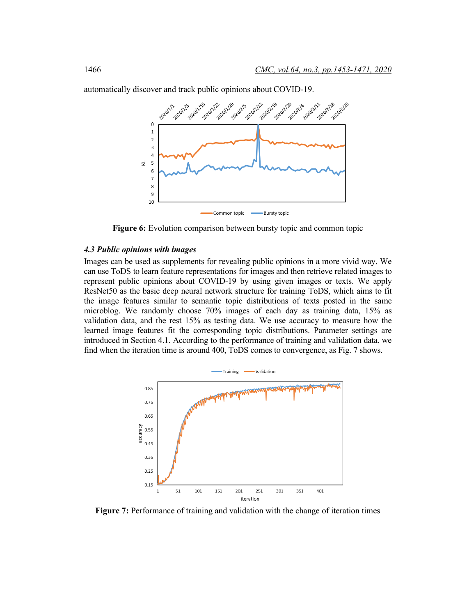

automatically discover and track public opinions about COVID-19.

**Figure 6:** Evolution comparison between bursty topic and common topic

#### *4.3 Public opinions with images*

Images can be used as supplements for revealing public opinions in a more vivid way. We can use ToDS to learn feature representations for images and then retrieve related images to represent public opinions about COVID-19 by using given images or texts. We apply ResNet50 as the basic deep neural network structure for training ToDS, which aims to fit the image features similar to semantic topic distributions of texts posted in the same microblog. We randomly choose 70% images of each day as training data, 15% as validation data, and the rest 15% as testing data. We use accuracy to measure how the learned image features fit the corresponding topic distributions. Parameter settings are introduced in Section 4.1. According to the performance of training and validation data, we find when the iteration time is around 400, ToDS comes to convergence, as Fig. 7 shows.



**Figure 7:** Performance of training and validation with the change of iteration times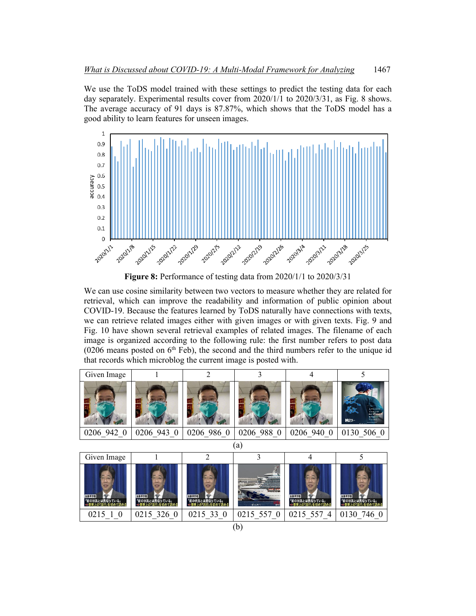We use the ToDS model trained with these settings to predict the testing data for each day separately. Experimental results cover from 2020/1/1 to 2020/3/31, as Fig. 8 shows. The average accuracy of 91 days is 87.87%, which shows that the ToDS model has a good ability to learn features for unseen images.



**Figure 8:** Performance of testing data from 2020/1/1 to 2020/3/31

We can use cosine similarity between two vectors to measure whether they are related for retrieval, which can improve the readability and information of public opinion about COVID-19. Because the features learned by ToDS naturally have connections with texts, we can retrieve related images either with given images or with given texts. Fig. 9 and Fig. 10 have shown several retrieval examples of related images. The filename of each image is organized according to the following rule: the first number refers to post data  $(0206$  means posted on  $6<sup>th</sup>$  Feb), the second and the third numbers refer to the unique id that records which microblog the current image is posted with.

| Given Image             |                         | $\overline{2}$          | 3          | 4                       |                                                                                 |  |  |  |
|-------------------------|-------------------------|-------------------------|------------|-------------------------|---------------------------------------------------------------------------------|--|--|--|
|                         |                         |                         |            |                         | 236241<br><b>CAWRD</b><br>Warthings<br>1214.13<br><b>MABLE</b><br><b>SEARCH</b> |  |  |  |
| 0206 942 0              | 0206 943 0              | 0206 986 0              | 0206 988 0 | 0206 940 0              | 0130 506 0                                                                      |  |  |  |
|                         | (a)                     |                         |            |                         |                                                                                 |  |  |  |
| Given Image             |                         | $\overline{2}$          | 3          | 4                       | 5                                                                               |  |  |  |
| 加藤厚労用<br>「前の状況とは異なっている」 | 加藤厚労相<br>「前の状況とは異なっている」 | 加藤厚労相<br>「前の状況とは異なっている」 | de est     | 加藤厚労相<br>「前の状況とは異なっている」 | 加藤原労相<br>「前の状況とは異なっている」                                                         |  |  |  |
| 0215 1 0                | 0215 326 0              | 0215 33 0               | 0215 557 0 | 0215 557 4              | 0130 746 0                                                                      |  |  |  |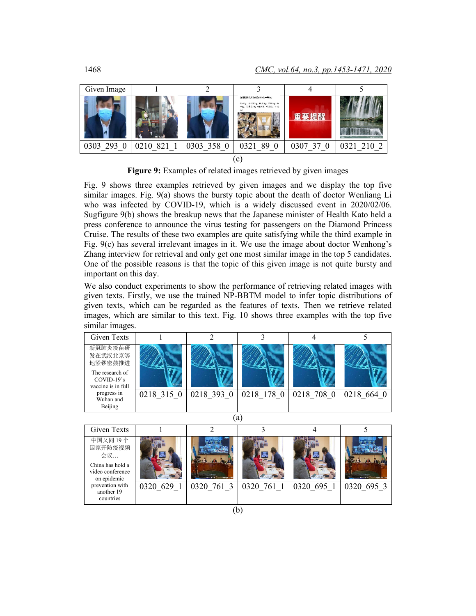

**Figure 9:** Examples of related images retrieved by given images

Fig. 9 shows three examples retrieved by given images and we display the top five similar images. Fig. 9(a) shows the bursty topic about the death of doctor Wenliang Li who was infected by COVID-19, which is a widely discussed event in 2020/02/06. Sugfigure 9(b) shows the breakup news that the Japanese minister of Health Kato held a press conference to announce the virus testing for passengers on the Diamond Princess Cruise. The results of these two examples are quite satisfying while the third example in Fig. 9(c) has several irrelevant images in it. We use the image about doctor Wenhong's Zhang interview for retrieval and only get one most similar image in the top 5 candidates. One of the possible reasons is that the topic of this given image is not quite bursty and important on this day.

We also conduct experiments to show the performance of retrieving related images with given texts. Firstly, we use the trained NP-BBTM model to infer topic distributions of given texts, which can be regarded as the features of texts. Then we retrieve related images, which are similar to this text. Fig. 10 shows three examples with the top five similar images.

| Given Texts                                           |            |            |            |            |            |  |  |
|-------------------------------------------------------|------------|------------|------------|------------|------------|--|--|
| 新冠肺炎疫苗研<br>发在武汉北京等<br>地紧锣密鼓推进                         |            |            |            |            |            |  |  |
| The research of<br>$COVID-19's$<br>vaccine is in full |            |            |            |            |            |  |  |
| progress in<br>Wuhan and<br>Beijing                   | 0218 315 0 | 0218 393 0 | 0218 178 0 | 0218 708 0 | 0218 664 0 |  |  |
| a                                                     |            |            |            |            |            |  |  |

| <b>Given Texts</b>                                                              |            |              |            |            |            |
|---------------------------------------------------------------------------------|------------|--------------|------------|------------|------------|
| 中国又同19个<br>国家开防疫视频<br>会议<br>China has hold a<br>video conference<br>on epidemic |            |              |            |            |            |
| prevention with<br>another 19<br>countries                                      | 0320 629 1 | 0320, 761, 3 | 0320 761 1 | 0320 695 1 | 0320 695 3 |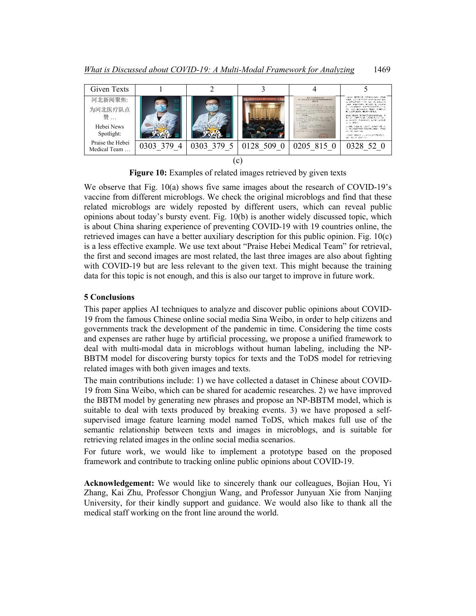

**Figure 10:** Examples of related images retrieved by given texts

We observe that Fig. 10(a) shows five same images about the research of COVID-19's vaccine from different microblogs. We check the original microblogs and find that these related microblogs are widely reposted by different users, which can reveal public opinions about today's bursty event. Fig. 10(b) is another widely discussed topic, which is about China sharing experience of preventing COVID-19 with 19 countries online, the retrieved images can have a better auxiliary description for this public opinion. Fig. 10(c) is a less effective example. We use text about "Praise Hebei Medical Team" for retrieval, the first and second images are most related, the last three images are also about fighting with COVID-19 but are less relevant to the given text. This might because the training data for this topic is not enough, and this is also our target to improve in future work.

### **5 Conclusions**

This paper applies AI techniques to analyze and discover public opinions about COVID-19 from the famous Chinese online social media Sina Weibo, in order to help citizens and governments track the development of the pandemic in time. Considering the time costs and expenses are rather huge by artificial processing, we propose a unified framework to deal with multi-modal data in microblogs without human labeling, including the NP-BBTM model for discovering bursty topics for texts and the ToDS model for retrieving related images with both given images and texts.

The main contributions include: 1) we have collected a dataset in Chinese about COVID-19 from Sina Weibo, which can be shared for academic researches. 2) we have improved the BBTM model by generating new phrases and propose an NP-BBTM model, which is suitable to deal with texts produced by breaking events. 3) we have proposed a selfsupervised image feature learning model named ToDS, which makes full use of the semantic relationship between texts and images in microblogs, and is suitable for retrieving related images in the online social media scenarios.

For future work, we would like to implement a prototype based on the proposed framework and contribute to tracking online public opinions about COVID-19.

**Acknowledgement:** We would like to sincerely thank our colleagues, Bojian Hou, Yi Zhang, Kai Zhu, Professor Chongjun Wang, and Professor Junyuan Xie from Nanjing University, for their kindly support and guidance. We would also like to thank all the medical staff working on the front line around the world.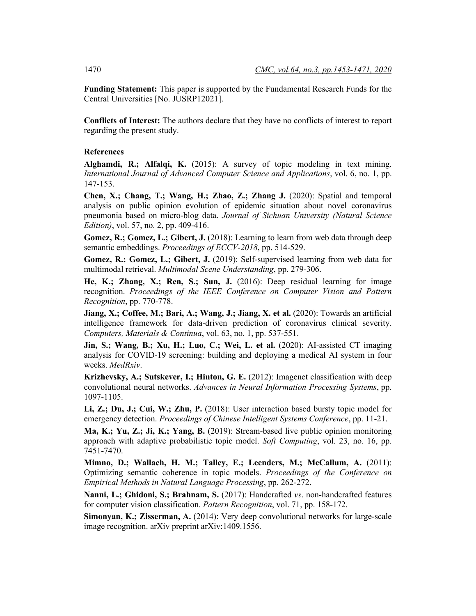**Funding Statement:** This paper is supported by the Fundamental Research Funds for the Central Universities [No. JUSRP12021].

**Conflicts of Interest:** The authors declare that they have no conflicts of interest to report regarding the present study.

#### **References**

**Alghamdi, R.; Alfalqi, K.** (2015): A survey of topic modeling in text mining. *International Journal of Advanced Computer Science and Applications*, vol. 6, no. 1, pp. 147-153.

**Chen, X.; Chang, T.; Wang, H.; Zhao, Z.; Zhang J.** (2020): Spatial and temporal analysis on public opinion evolution of epidemic situation about novel coronavirus pneumonia based on micro-blog data. *Journal of Sichuan University (Natural Science Edition)*, vol. 57, no. 2, pp. 409-416.

**Gomez, R.; Gomez, L.; Gibert, J.** (2018): Learning to learn from web data through deep semantic embeddings. *Proceedings of ECCV-2018*, pp. 514-529.

**Gomez, R.; Gomez, L.; Gibert, J.** (2019): Self-supervised learning from web data for multimodal retrieval. *Multimodal Scene Understanding*, pp. 279-306.

**He, K.; Zhang, X.; Ren, S.; Sun, J.** (2016): Deep residual learning for image recognition. *Proceedings of the IEEE Conference on Computer Vision and Pattern Recognition*, pp. 770-778.

**Jiang, X.; Coffee, M.; Bari, A.; Wang, J.; Jiang, X. et al.** (2020): Towards an artificial intelligence framework for data-driven prediction of coronavirus clinical severity. *Computers, Materials & Continua*, vol. 63, no. 1, pp. 537-551.

**Jin, S.; Wang, B.; Xu, H.; Luo, C.; Wei, L. et al.** (2020): AI-assisted CT imaging analysis for COVID-19 screening: building and deploying a medical AI system in four weeks. *MedRxiv*.

**Krizhevsky, A.; Sutskever, I.; Hinton, G. E.** (2012): Imagenet classification with deep convolutional neural networks. *Advances in Neural Information Processing Systems*, pp. 1097-1105.

**Li, Z.; Du, J.; Cui, W.; Zhu, P.** (2018): User interaction based bursty topic model for emergency detection. *Proceedings of Chinese Intelligent Systems Conference*, pp. 11-21.

**Ma, K.; Yu, Z.; Ji, K.; Yang, B.** (2019): Stream-based live public opinion monitoring approach with adaptive probabilistic topic model. *Soft Computing*, vol. 23, no. 16, pp. 7451-7470.

**Mimno, D.; Wallach, H. M.; Talley, E.; Leenders, M.; McCallum, A.** (2011): Optimizing semantic coherence in topic models. *Proceedings of the Conference on Empirical Methods in Natural Language Processing*, pp. 262-272.

**Nanni, L.; Ghidoni, S.; Brahnam, S.** (2017): Handcrafted *vs*. non-handcrafted features for computer vision classification. *Pattern Recognition*, vol. 71, pp. 158-172.

**Simonyan, K.; Zisserman, A.** (2014): Very deep convolutional networks for large-scale image recognition. arXiv preprint arXiv:1409.1556.